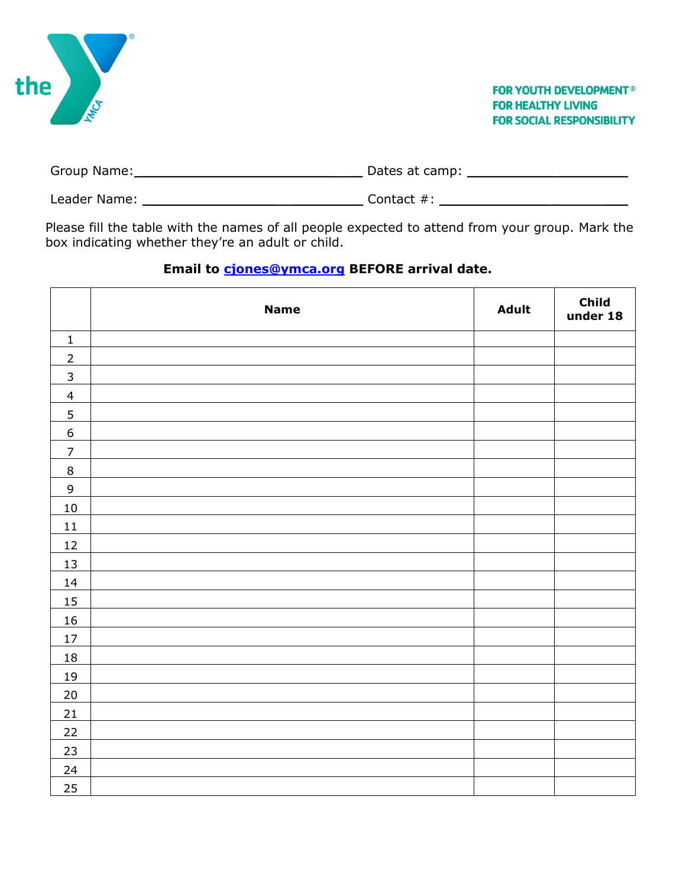| the<br>∕\$                                                                                                                                                                                                                     |               | <b>FOR YOUTH DEVELOPMENT<sup>®</sup></b><br><b>FOR HEALTHY LIVING</b><br><b>FOR SOCIAL RESPONSIBILITY</b> |  |
|--------------------------------------------------------------------------------------------------------------------------------------------------------------------------------------------------------------------------------|---------------|-----------------------------------------------------------------------------------------------------------|--|
| Group Name: Campaign Contains and Containing Contains a substitution of the Containing Contains and Containing Containing Contains a substitution of the Contains and Contains and Contains and Contains and Contains and Cont |               |                                                                                                           |  |
| Leader Name:                                                                                                                                                                                                                   | Contact $#$ : |                                                                                                           |  |

Please fill the table with the names of all people expected to attend from your group. Mark the box indicating whether they're an adult or child.

## **Email to [cjones@ymca.org](mailto:cjones@ymca.org) BEFORE arrival date.**

|                  | <b>Name</b> | <b>Adult</b> | Child<br>under 18 |
|------------------|-------------|--------------|-------------------|
| $\mathbf 1$      |             |              |                   |
| $\overline{2}$   |             |              |                   |
| $\mathsf{3}$     |             |              |                   |
| $\overline{4}$   |             |              |                   |
| $\overline{5}$   |             |              |                   |
| $\boldsymbol{6}$ |             |              |                   |
| $\overline{7}$   |             |              |                   |
| $\,8\,$          |             |              |                   |
| $\mathsf 9$      |             |              |                   |
| $10\,$           |             |              |                   |
| $11\,$           |             |              |                   |
| 12               |             |              |                   |
| 13               |             |              |                   |
| 14               |             |              |                   |
| 15               |             |              |                   |
| 16               |             |              |                   |
| $17\,$           |             |              |                   |
| $18\,$           |             |              |                   |
| <u>19</u>        |             |              |                   |
| 20               |             |              |                   |
| 21               |             |              |                   |
| 22               |             |              |                   |
| 23               |             |              |                   |
| 24               |             |              |                   |
| 25               |             |              |                   |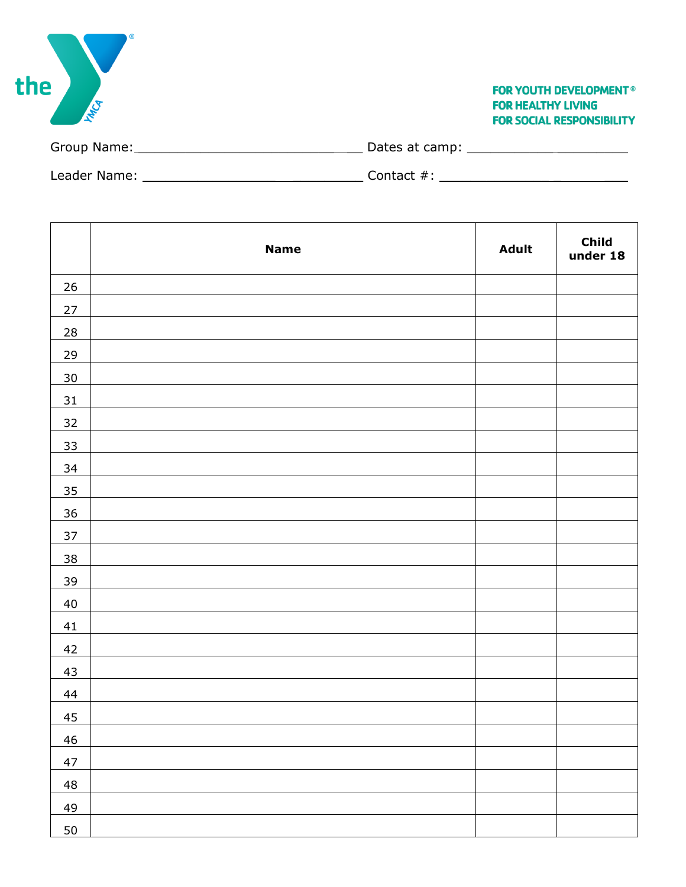| the                                                                                                                                                                                                                            | <b>FOR YOUTH DEVELOPMENT<sup>®</sup></b><br><b>FOR HEALTHY LIVING</b><br><b>FOR SOCIAL RESPONSIBILITY</b> |
|--------------------------------------------------------------------------------------------------------------------------------------------------------------------------------------------------------------------------------|-----------------------------------------------------------------------------------------------------------|
|                                                                                                                                                                                                                                |                                                                                                           |
| Leader Name: The Contract of the Contract of the Contract of the Contract of the Contract of the Contract of the Contract of the Contract of the Contract of the Contract of the Contract of the Contract of the Contract of t |                                                                                                           |

T

г

|                | <b>Name</b> | Adult | Child<br>under 18 |
|----------------|-------------|-------|-------------------|
| 26             |             |       |                   |
| 27             |             |       |                   |
| $\frac{28}{2}$ |             |       |                   |
| 29             |             |       |                   |
| 30             |             |       |                   |
| 31             |             |       |                   |
| 32             |             |       |                   |
| 33             |             |       |                   |
| <u>34</u>      |             |       |                   |
| <u>35</u>      |             |       |                   |
| 36             |             |       |                   |
| 37             |             |       |                   |
| <u>38</u>      |             |       |                   |
| 39             |             |       |                   |
| 40             |             |       |                   |
| 41             |             |       |                   |
| 42             |             |       |                   |
| 43             |             |       |                   |
| 44             |             |       |                   |
| 45             |             |       |                   |
| 46             |             |       |                   |
| 47             |             |       |                   |
| 48             |             |       |                   |
| 49             |             |       |                   |
| 50             |             |       |                   |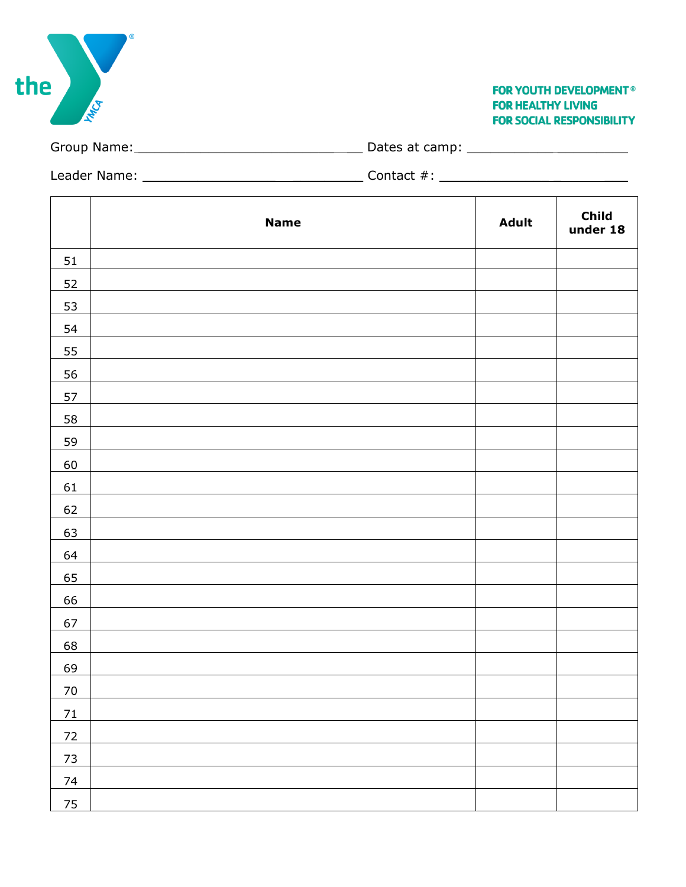Group Name: \_\_\_\_\_\_\_\_\_\_\_\_\_\_\_\_\_\_\_\_\_\_\_\_\_ \_\_ Dates at camp: \_\_\_\_\_\_\_\_\_\_\_ \_\_\_\_\_\_\_\_\_

Leader Name: \_\_\_\_\_\_\_\_\_\_\_\_\_\_\_\_\_ \_\_\_\_\_\_\_\_\_ Contact #: \_\_\_\_\_\_\_\_\_\_\_\_\_\_ \_ \_\_\_

|                | <b>Name</b> | Adult | Child<br>under 18 |
|----------------|-------------|-------|-------------------|
| 51             |             |       |                   |
| 52             |             |       |                   |
| 53             |             |       |                   |
| 54             |             |       |                   |
| 55             |             |       |                   |
| 56             |             |       |                   |
| 57             |             |       |                   |
| 58             |             |       |                   |
| 59             |             |       |                   |
| 60             |             |       |                   |
| 61             |             |       |                   |
| 62             |             |       |                   |
| 63             |             |       |                   |
| 64             |             |       |                   |
| 65             |             |       |                   |
| 66             |             |       |                   |
| 67             |             |       |                   |
| 68             |             |       |                   |
| 69             |             |       |                   |
| 70             |             |       |                   |
| 71             |             |       |                   |
| $\frac{72}{ }$ |             |       |                   |
| 73             |             |       |                   |
| 74             |             |       |                   |
| 75             |             |       |                   |



**FOR YOUTH DEVELOPMENT<sup>®</sup> FOR HEALTHY LIVING FOR SOCIAL RESPONSIBILITY**